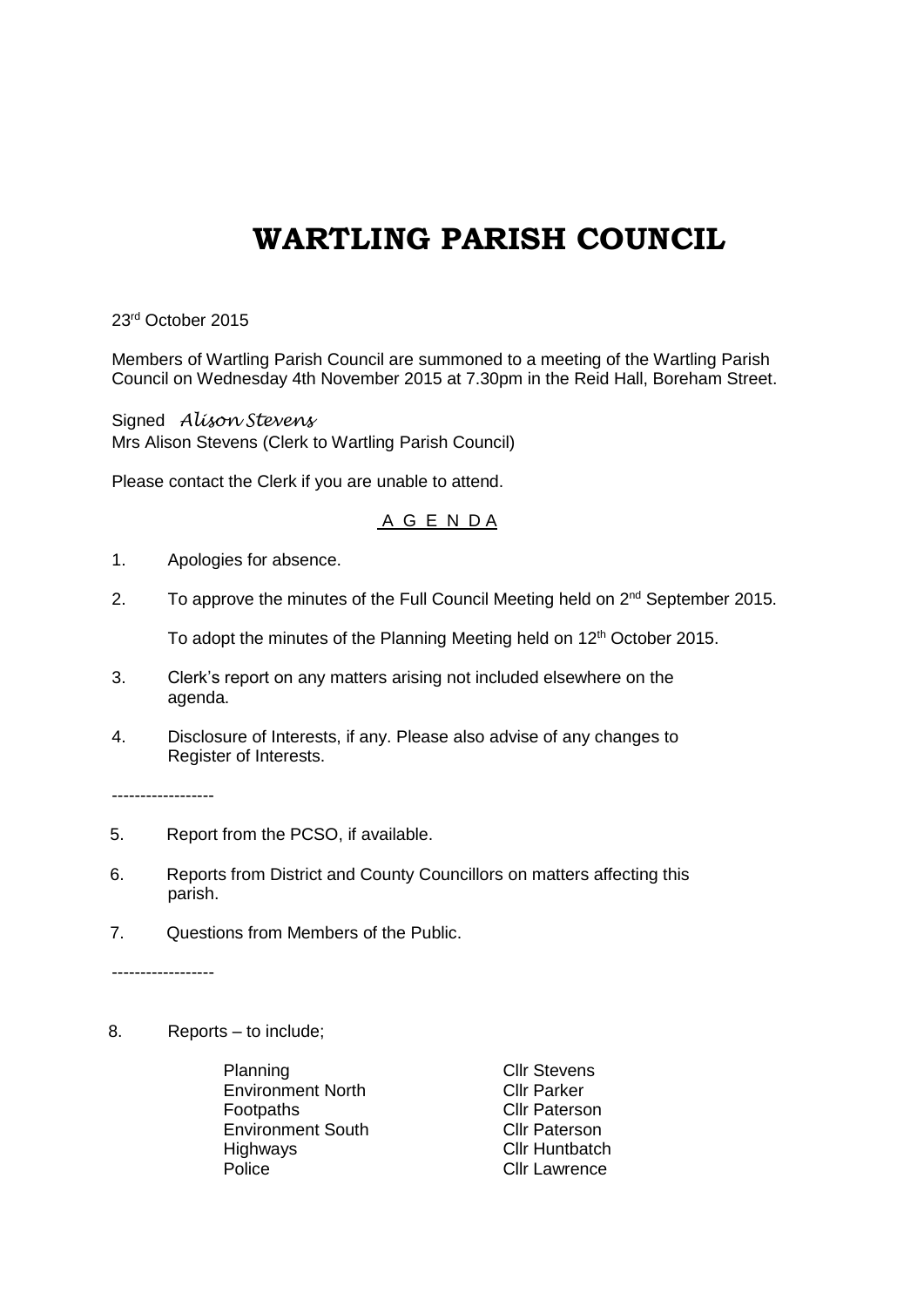## **WARTLING PARISH COUNCIL**

23rd October 2015

Members of Wartling Parish Council are summoned to a meeting of the Wartling Parish Council on Wednesday 4th November 2015 at 7.30pm in the Reid Hall, Boreham Street.

Signed *Alison Stevens* Mrs Alison Stevens (Clerk to Wartling Parish Council)

Please contact the Clerk if you are unable to attend.

## A G E N D A

- 1. Apologies for absence.
- 2. To approve the minutes of the Full Council Meeting held on 2<sup>nd</sup> September 2015.

To adopt the minutes of the Planning Meeting held on 12<sup>th</sup> October 2015.

- 3. Clerk's report on any matters arising not included elsewhere on the agenda.
- 4. Disclosure of Interests, if any. Please also advise of any changes to Register of Interests.

------------------

- 5. Report from the PCSO, if available.
- 6. Reports from District and County Councillors on matters affecting this parish.
- 7. Questions from Members of the Public.

------------------

8. Reports – to include;

Planning Clir Stevens Environment North Cllr Parker Footpaths **Cllr** Paterson Environment South Cllr Paterson<br>
Highways Cllr Huntbatch Police **Cllr** Lawrence

Cllr Huntbatch